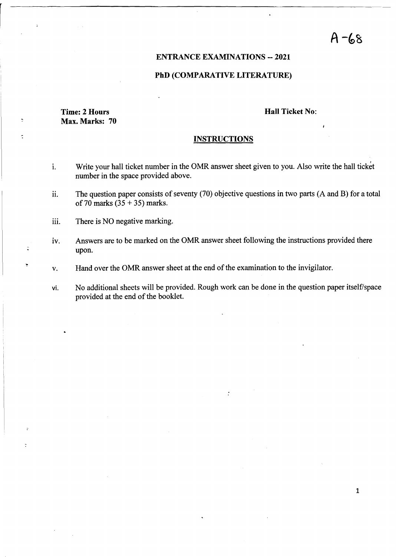# $A - 68$

1

## ENTRANCE EXAMINATIONS -- 2021

## PhD (COMPARATIVE LITERATURE)

## Time: 2 Hours Max. Marks: 70

 $\overline{z}$ 

 $\overline{z}$ 

#### Hall Ticket No:

#### **INSTRUCTIONS**

- 1. Write your hall ticket number in the OMR answer sheet given to you. Also write the hall ticket number in the space provided above.
- 11. The question paper consists of seventy (70) objective questions in two parts (A and B) for a total of 70 marks  $(35 + 35)$  marks.
- iii. There is NO negative marking.
- IV. Answers are to be marked on the OMR answer sheet following the instructions provided there upon.
- v. Hand over the OMR answer sheet at the end of the examination to the invigilator.
- vi. No additional sheets will be provided. Rough work can be done in the question paper itself/space provided at the end of the booklet.

 $\ddot{\cdot}$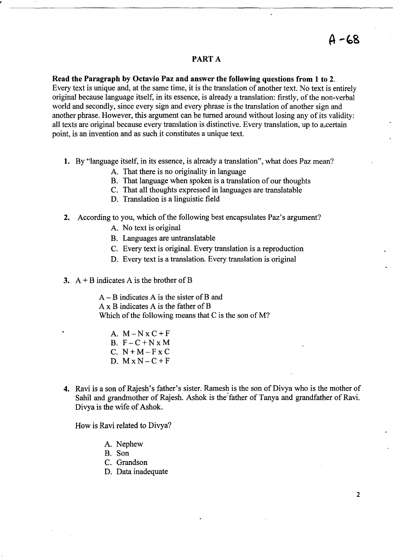## PART A

**Read the Paragraph by Octavio Paz and answer the following questions from 1 to** 2.

Every text is unique and, at the same time, it is the translation of another text. No text is entirely original because language itself, in its essence, is already a translation: firstly, of the non-verbal world and secondly, since every sign and every phrase is the translation of another sign and another phrase. However, this argument can be turned around without losing any of its validity: all texts are original because every translation is distinctive. Every translation, up to a,certain point, is an invention and as such it constitutes a unique text.

- 1. By "language itself, in its essence, is already a translation", what does paz mean?
	- A. That there is no originality in language
	- B. That language when spoken is a translation of our thoughts
	- C. That all thoughts expressed in languages are translatable
	- D. Translation is a linguistic field
- **2.** According to you, which of the following best encapsulates Paz's argument?
	- A. No text is original
	- B. Languages are untranslatable
	- C. Every text is original. Every translation is a reproduction
	- D. Every text is a translation. Every translation is original
- **3.** A + B indicates A is the brother of B

A - B indicates A is the sister of B and A x B indicates A is the father of B Which of the following means that C is the son of M?

- A.  $M-NxC+F$ B.  $F-C+NxM$ C.  $N+M-FX$ C D.  $M \times N - C + F$
- **4.** Ravi is a son of Rajesh's father's sister. Ramesh is the son of Divya who is the mother of Sahil and grandmother of Rajesh. Ashok is the father of Tanya and grandfather of Ravi. Divya is the wife of Ashok.

How is Ravi related to Divya?

- A. Nephew
- B. Son
- C. Grandson
- D. Data inadequate

2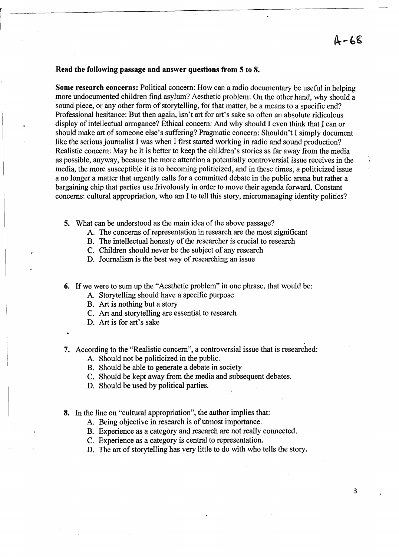#### Read the following passage and answer questions from 5 to 8.

Some research concerns: Political concern: How can a radio documentary be useful in helping more undocumented children find asylum? Aesthetic problem: On the other hand, why should a sound piece, or any other form of storytelling, for that matter, be a means to a specific end? Professional hesitance: But then again, isn't art for art's sake so often an absolute ridiculous display of intellectual arrogance? Ethical concern: And why should I even think that J can or should make art of someone else's suffering? Pragmatic concern: Shouldn't I simply document like the serious journalist I was when I first started working in radio and sound production? Realistic concern: May be it is better to keep the children's stories as far away from the media as possible, anyway, because the more attention a potentially controversial issue receives in the media, the more susceptible it is to becoming politicized, and in these times, a politicized issue a no longer a matter that urgently calls for a committed debate in the public arena but rather a bargaining chip that parties use frivolously in order to move their agenda forward. Constant concerns: cultural appropriation, who am I to tell this story, micromanaging identity politics?

- 5. What can be understood as the main idea of the above passage?
	- A. The concerns of representation in research are the most significant
	- B. The intellectual honesty of the researcher is crucial to research
	- C. Children should never be the subject of any research
	- D. Journalism is the best way of researching an issue
- 6. If we were to sum up the "Aesthetic problem" in one phrase, that would be:
	- A. Storytelling should have a specific purpose
	- B. Art is nothing but a story
	- C. Art and storytelling are essential to research
	- D. Art is for art's sake
- 7. According to the "Realistic concern", a controversial issue that is researched:
	- A. Should not be politicized in the public.
	- B. Should be able to generate a debate in society
	- C. Should be kept away from the media and subsequent debates.
	- D. Should be used by political parties.
- 8. In the line on "cultural appropriation", the author implies that:
	- A. Being objective in research is of utmost importance.
	- B. Experience as a category and research are not really connected.
	- C. Experience as a category is central to representation.
	- D. The art of storytelling has very little to do with who tells the story.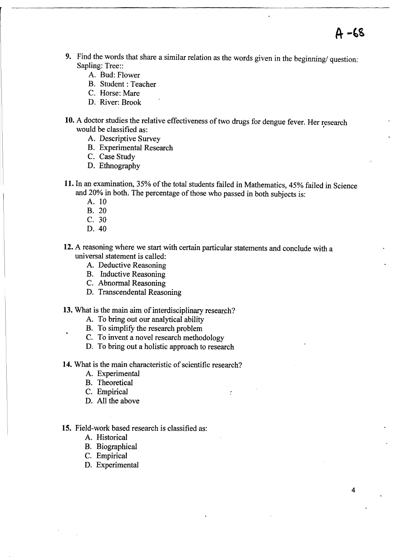- **9.** Find the words that share a similar relation as the words given in the beginning/ question: Sapling: Tree::
	- A. Bud: Flower
	- B. Student: Teacher
	- C. Horse: Mare
	- D. River: Brook
- **10.** A doctor studies the relative effectiveness of two drugs for dengue fever. Her research would be classified as:
	- A. Descriptive Survey
	- B. Experimental Research
	- C. Case Study
	- D. Ethnography
- **11.** In an examination, 35% of the total students failed in Mathematics, 45% failed in Science and 20% in both. The percentage of those who passed in both subjects is:

 $\ddot{\cdot}$ 

4

 $A - 68$ 

- A. 10
- B. 20
- C. 30
- D.40
- **12.** A reasoning where we start with certain particular statements and conclude with a universal statement is called:
	- A. Deductive Reasoning
	- B. Inductive Reasoning
	- C. Abnormal Reasoning
	- D. Transcendental Reasoning

**13.** What is the main aim of interdisciplinary research?

- A. To bring out our analytical ability
- B. To simplify the research problem
- C. To invent a novel research methodology
- D. To bring out a holistic approach to research

**14.** What is the main characteristic of scientific research?

- A. Experimental
- B. Theoretical
- C. Empirical
- D. All the above

## **15.** Field-work based research is classified as:

- A. Historical
- B. Biographical
- C. Empirical
- D. Experimental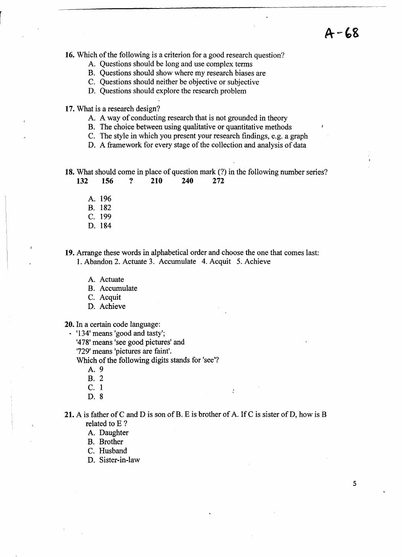**16.** Which of the following is a criterion for a good research question?

- A. Questions should be long and use complex terms
- B. Questions should show where my research biases are
- C. Questions should neither be objective or subjective
- D. Questions should explore the research problem
- **17.** What is a research design?
	- A. A way of conducting research that is not grounded in theory
	- B. The choice between using qualitative or quantitative methods
	- C. The style in which you present your research findings, e.g. a graph
	- D. A framework for every stage of the collection and analysis of data

**18.** What should come in place of question mark (?) in the following number series?

- 
- **132 156 ? 210 240 272** 
	- A. 196
	- B. 182
	- C. 199
	- D. 184

**19.** Arrange these words in alphabetical order and choose the one that comes last: 1. Abandon 2. Actuate 3. Accumulate 4. Acquit 5. Achieve

- A. Actuate
- B. Accumulate
- C. Acquit
- D. Achieve

**20.** In a certain code language:

• '134' means 'good and tasty';

'478' means 'see good pictures' and

'729' means 'pictures are faint'.

Which of the following digits stands for 'see'?

A.9

- B. 2
- C. 1
- D. 8

**21.** A is father of C and D is son of B. E is brother of A. If C is sister of D, how is B related to E ?

A. Daughter

B. Brother

- C. Husband
- D. Sister-in-law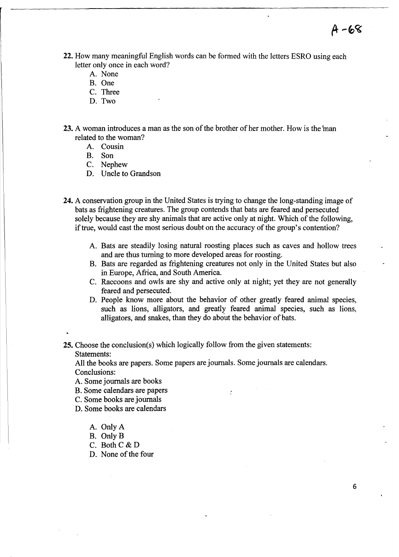- **22.** How many meaningful English words can be formed with the letters ESRO using each letter only once in each word?
	- A. None
	- B. One
	- C. Three
	- D. Two
- **23.** A woman introduces a man as the son of the brother of her mother. How is the man related to the woman?
	- A. Cousin
	- B. Son
	- C. Nephew
	- D. Uncle to Grandson
- **24.** A conservation group in the United States is trying to change the long-standing image of bats as frightening creatures. The group contends that bats are feared and persecuted solely because they are shy animals that are active only at night. Which of the following, if true, would cast the most serious doubt on the accuracy of the group's contention?
	- A. Bats are steadily losing natural roosting places such as caves and hollow trees and are thus turning to more developed areas for roosting.
	- B. Bats are regarded as frightening creatures not only in the United States but also in Europe, Africa, and South America.
	- C. Raccoons and owls are shy and active only at night; yet they are not generally feared and persecuted.
	- D. People know more about the behavior of other greatly feared animal species, such as lions, alligators, and greatly feared animal species, such as lions, alligators, and snakes, than they do about the behavior of bats.

 $\ddot{\cdot}$ 

**25.** Choose the conclusion(s) which logically follow from the given statements:

Statements:

All the books are papers. Some papers are journals. Some journals are calendars. Conclusions:

A. Some journals are books

B. Some calendars are papers

- C. Some books are journals
- D. Some books are calendars
	- A. Only A
	- B. Only B
	- C. Both C & D
	- D. None of the four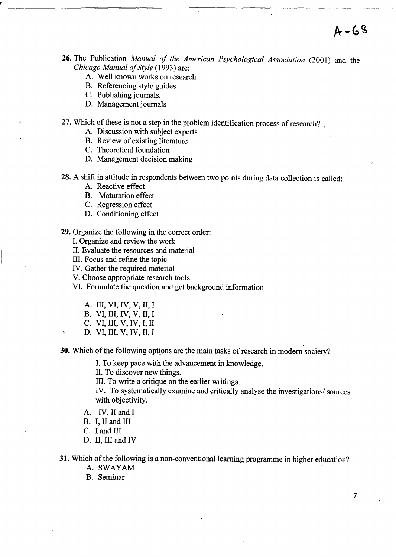- 26. The Publication *Manual of the American Psychological Association* (2001) and the *Chicago Manual of Style* (1993) are:
	- A. Well known works on research
	- B. Referencing style guides
	- C. Publishing journals.
	- D. Management journals

27. Which of these is not a step in the problem identification process of research?

- A. Discussion with subject experts
- B. Review of existing literature
- C. Theoretical foundation
- D. Management decision making
- 28. A shift in attitude in respondents between two points during data collection is called:
	- A. Reactive effect
	- B. Maturation effect
	- C. Regression effect
	- D. Conditioning effect

29. Organize the following in the correct order:

I. Organize and review the work

II. Evaluate the resources and material

- III. Focus and refine the topic
- IV. Gather the required material

V. Choose appropriate research tools

VI. Formulate the question and get background information

- A. III, VI, IV, V, II, I
- B. VI, III, IV, V, II, I
- C. VI, III, V, IV, I, II
- D. VI, III, V, IV, II, I

30. Which of the following options are the main tasks of research in modem society?

I. To keep pace with the advancement in knowledge.

II. To discover new things.

III. To write a critique on the earlier writings.

IV. To systematically examine and critically analyse the investigations/ sources with objectivity.

- A. IV, II and I
- B. I, II and III
- C. I and III
- D. II, III and IV

31. Which of the following is a non-conventional learning programme in higher education?

- A. SWAYAM
- B. Seminar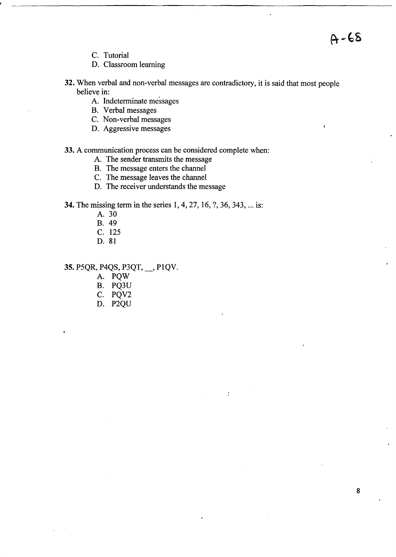C. Tutorial

D. Classroom learning

32. When verbal and non-verbal messages are contradictory, it is said that most people believe in:

 $\ddot{\cdot}$ 

- A. Indeterminate messages
- B. Verbal messages
- C. Non-verbal messages
- D. Aggressive messages

# 33. A communication process can be considered complete when:

- A. The sender transmits the message
- B. The message enters the channel
- C. The message leaves the channel
- D. The receiver understands the message

34. The missing term in the series 1,4,27, 16, ?, 36, 343, ... is:

- A. 30
- B. 49
- C. 125
- D. 81

# 35. P5QR, P4QS, P3QT, \_, PIQV.

- A. PQW
- B. PQ3U
- C. PQV2
- D. P2QU

 $A - 68$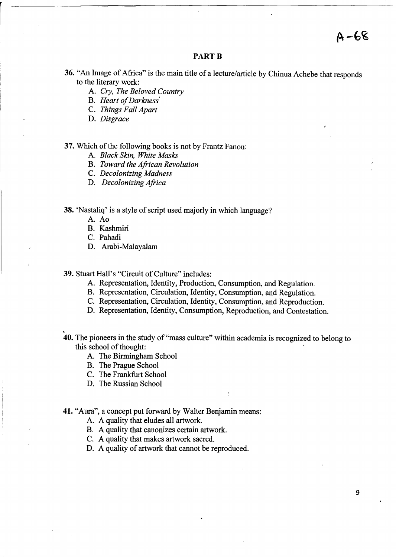$A - 68$ 

## **PART B**

- 36. "An Image of Africa" is the main title of a lecture/article by Chinua Achebe that responds to the literary work:
	- A. Cry, *The Beloved Country*
	- B. *Heart of Darkness'*
	- C. *Things Fall Apart*
	- D. *Disgrace*

## 37. Which of the following books is not by Frantz Fanon:

- A. *Black Skin, White Masks*
- B. *Toward the African Revolution*
- C. *Decolonizing Madness*
- D. *Decolonizing Africa*

# 38. 'Nastaliq' is a style of script used majorly in which language?

- A. Ao
- B. Kashmiri
- C. Pahadi
- D. Arabi-Malayalam

39. Stuart Hall's "Circuit of Culture" includes:

- A. Representation, Identity, Production, Consumption, and Regulation.
- B. Representation, Circulation, Identity, Consumption, and Regulation.
- C. Representation, Circulation, Identity, Consumption, and Reproduction.
- D. Representation, Identity, Consumption, Reproduction, and Contestation.
- .<br>.<br>. **40.** The pioneers in the study of "mass culture" within academia is recognized to belong to this school of thought:
	- A. The Birmingham School
	- B. The Prague School
	- C. The Frankfurt School
	- D. The Russian School

#### **41.** "Aura", a concept put forward by Walter Benjamin means:

- A. A quality that eludes all artwork.
- B. A quality that canonizes certain artwork.
- C. A quality that makes artwork sacred.
- D. A quality of artwork that cannot be reproduced.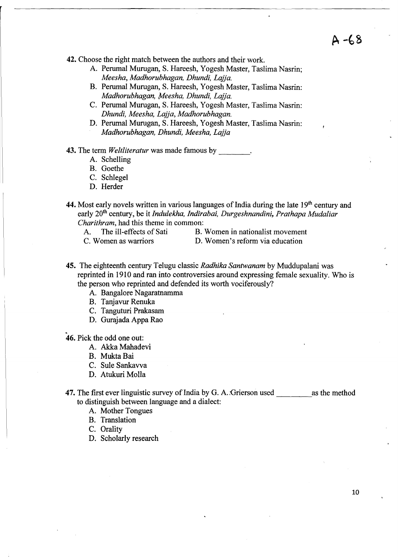**42.** Choose the right match between the authors and their work.

- A. Perumal Murugan, S. Hareesh, Yogesh Master, Taslima Nasrin; *Meesha, Madhorubhagan, Dhundi, Lajja.*
- B. Perumal Murugan, S. Hareesh, Yogesh Master, Taslima Nasrin: *Madhorubhagan, Meesha, Dhundi, Lajja.*
- C. Perumal Murugan, S. Hareesh, Yogesh Master, Taslima Nasrin: *Dhundi, Meesha, Lajja, Madhorubhagan.*
- D. Perumal Murugan, S. Hareesh, Yogesh Master, Taslima Nasrin: *Madhorubhagan, Dhundi, Meesha, Lajja*

**43.** The term *Weltliteratur* was made famous by  $\cdot$ .

- A. Schelling
- B. Goethe
- C. Schlegel
- D. Herder
- 44. Most early novels written in various languages of India during the late 19<sup>th</sup> century and early 20th century, be it *Indulekha, Indirabai, Durgeshnandini, Prathapa Mudaliar Charithram,* had this theme in common:
	- A. The ill-effects of Sati B. Women in nationalist movement
		-
	-
	- C. Women as warriors D. Women's reform via education
- **45.** The eighteenth century Telugu classic *Radhika Santwanam* by Muddupalani was reprinted in 1910 and ran into controversies around expressing female sexuality. Who is the person who reprinted and defended its worth vociferously?
	- A. Bangalore Nagaratnamma
	- B. Tanjavur Renuka
	- C. Tanguturi Prakasam
	- D. Gurajada Appa Rao

**46.** Pick the odd one out:

- A. Akka Mahadevi
- B. MuktaBai
- C. Sule Sankavva
- D. Atukuri Molla

**47.** The first ever linguistic survey of India by G. A. Grierson used as the method to distinguish between language and a dialect:

- A. Mother Tongues
- B. Translation

C. Orality

D. Scholarly research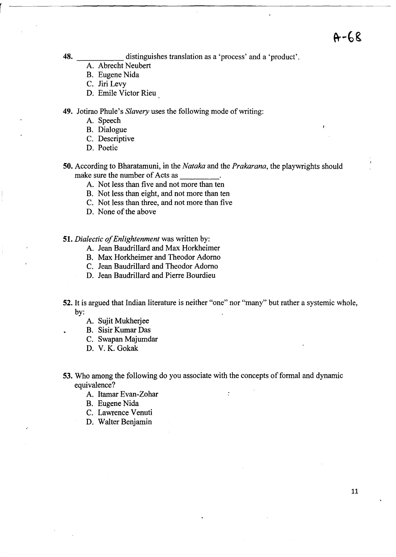**48.** distinguishes translation as a 'process' and a 'product'.

- A. Abrecht Neubert
- B. Eugene Nida
- C. Jiri Levy
- D. Emile Victor Rieu

**49.** Jotirao Phule's *Slavery* uses the following mode of writing:

- A. Speech
- B. Dialogue
- C. Descriptive
- D. Poetic
- **50.** According to Bharatamuni, in the *Nataka* and the *Prakarana,* the playwrights should make sure the number of Acts as \_\_\_\_\_\_\_\_.<br>A. Not less than five and not more than ten
	-
	- B. Not less than eight, and not more than ten
	- C. Not less than three, and not more than five
	- D. None of the above

#### *51. Dialectic of Enlightenment* was written by:

- A. Jean Baudrillard and Max Horkheimer
- B. Max Horkheimer and Theodor Adorno
- C. Jean Baudrillard and Theodor Adorno
- D. Jean Baudrillard and Pierre Bourdieu
- **52.** It is argued that Indian literature is neither "one" nor "many" but rather a systemic whole, by:
	- A. Sujit Mukherjee
	- B. Sisir Kumar Das
	- C. Swapan Majumdar
	- D. V. K. Gokak
- **53.** Who among the following do you associate with the concepts of formal and dynamic equivalence?

 $\ddot{\cdot}$ 

- A. Itamar Evan-Zohar
- B. Eugene Nida
- C. Lawrence Venuti
- D. Walter Benjamin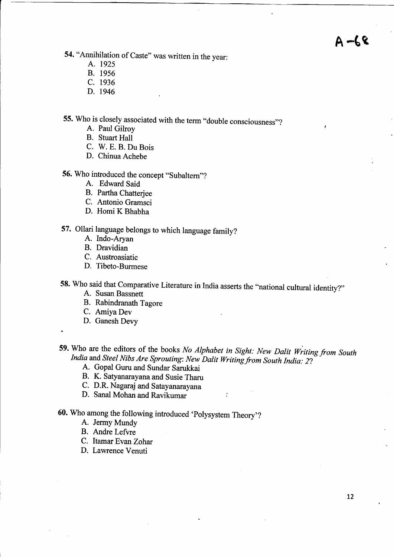# $A - \xi$

54. "Annihilation of Caste" was written in the year:

- A. 1925
- B. 1956
- C. 1936
- D. 1946

55. Who is closely associated with the term "double consciousness"?

- A. Paul Gilroy
- B. Stuart Hall
- C. W. E. B. Du Bois
- D. Chinua Achebe
- 56. Who introduced the concept "Subaltern"?
	- A. Edward Said
	- B. Partha Chatterjee
	- C. Antonio Gramsci
	- D. Homi K Bhabha
- 57. Ollari language belongs to which language family?
	- A. Indo-Aryan
	- B. Dravidian
	- C. Austroasiatic
	- D. Tibeto-Burmese

58. Who said that Comparative Literature in India asserts the "national cultural identity?"

- A. Susan Bassnett
- B. Rabindranath Tagore
- C. Amiya Dev
- D. Ganesh Devy
- 
- 59. Who are the editors of the books *No Alphabet in Sight: New Dalit Writing from South India and Steel Nibs Are Sprouting: New Dalit Writing from South India: 2?* 
	- A. Gopal Guru and Sundar Sarukkai
	- B. K. Satyanarayana and Susie Tharu
	- C. D.R. Nagaraj and Satayanarayana
	- D. Sana! Mohan and Ravikumar
- 60. Who among the following introduced 'Polysystem Theory'?
	- A. Jermy Mundy
	- B. Andre Lefvre
	- C. Itamar Evan Zohar
	- D. Lawrence Venuti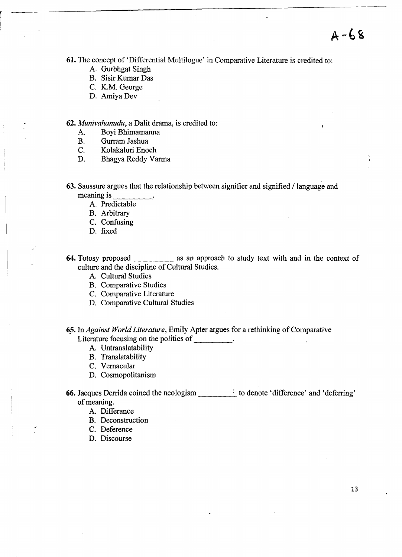61. The concept of 'Differential Multilogue' in Comparative Literature is credited to:

- A. Gurbhgat Singh
- B. Sisir Kumar Das
- C. K.M. George
- D. Amiya Dev

*62. Munivahanudu,* a Dalit drama, is credited to:

- A. Boyi Bhimamanna
- B. Gurram lashua
- C. Kolakaluri Enoch
- D. Bhagya Reddy Varma
- 63. Saussure argues that the relationship between signifier and signified  $/$  language and meaning is  $\frac{1}{\sqrt{1-\frac{1}{n}}}\$ 
	- A. Predictable
	- B. Arbitrary
	- C. Confusing
	- D. fixed
- 64. Totosy proposed as an approach to study text with and in the context of culture and the discipline of Cultural Studies.
	- A. Cultural Studies
	- B. Comparative Studies
	- C. Comparative Literature
	- D. Comparative Cultural Studies
- 6? In *Against World Literature,* Emily Apter argues for a rethinking of Comparative Literature focusing on the politics of \_\_\_\_\_\_\_\_\_.
	- A. Untranslatability
	- B. Translatability
	- C. Vernacular
	- D. Cosmopolitanism

66. Jacques Derrida coined the neologism \_\_\_\_ to denote 'difference' and 'deferring' of meaning.

- A. Differance
- B. Deconstruction
- C. Deference
- D. Discourse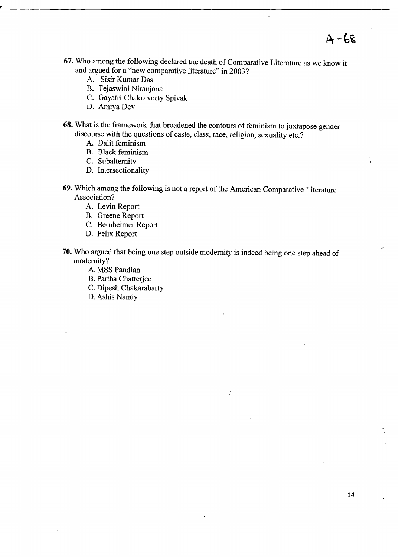- **67.** Who among the following declared the death of Comparative Literature as we know it and argued for a "new comparative literature" in 2003?
	- A. Sisir Kumar Das
	- B. Tejaswini Niranjana
	- C. Gayatri Chakravorty Spivak
	- D. Amiya Dev
- **68.** What is the framework that broadened the contours of feminism to juxtapose gender discourse with the questions of caste, class, race, religion, sexuality etc.?
	- A. Dalit feminism
	- B. Black feminism
	- C. Subalternity
	- D. Intersectionality
- **69.** Which among the following is not a report of the American Comparative Literature Association?
	- A. Levin Report
	- B. Greene Report
	- C. Bernheimer Report
	- D. Felix Report
- **70.** Who argued that being one step outside modernity is indeed being one step ahead of modernity?

 $\ddot{\cdot}$ 

- A. MSS Pandian
- B. Partha Chatterjee
- C. Dipesh Chakarabarty
- D.Ashis Nandy